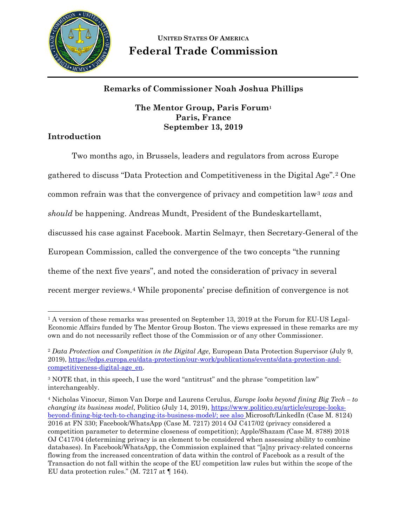

# **UNITED STATES OF AMERICA Federal Trade Commission**

# **Remarks of Commissioner Noah Joshua Phillips**

## **The Mentor Group, Paris Forum[1](#page-0-0) Paris, France September 13, 2019**

# **Introduction**

 $\overline{a}$ 

Two months ago, in Brussels, leaders and regulators from across Europe

gathered to discuss "Data Protection and Competitiveness in the Digital Age".[2](#page-0-1) One

common refrain was that the convergence of privacy and competition law[3](#page-0-2) *was* and

*should* be happening. Andreas Mundt, President of the Bundeskartellamt,

discussed his case against Facebook. Martin Selmayr, then Secretary-General of the

European Commission, called the convergence of the two concepts "the running

theme of the next five years", and noted the consideration of privacy in several

recent merger reviews.[4](#page-0-3) While proponents' precise definition of convergence is not

<span id="page-0-0"></span><sup>&</sup>lt;sup>1</sup> A version of these remarks was presented on September 13, 2019 at the Forum for EU-US Legal-Economic Affairs funded by The Mentor Group Boston. The views expressed in these remarks are my own and do not necessarily reflect those of the Commission or of any other Commissioner.

<span id="page-0-1"></span><sup>2</sup> *Data Protection and Competition in the Digital Age*, European Data Protection Supervisor (July 9, 2019), [https://edps.europa.eu/data-protection/our-work/publications/events/data-protection-and](https://edps.europa.eu/data-protection/our-work/publications/events/data-protection-and-competitiveness-digital-age_en)[competitiveness-digital-age\\_en.](https://edps.europa.eu/data-protection/our-work/publications/events/data-protection-and-competitiveness-digital-age_en)

<span id="page-0-2"></span><sup>3</sup> NOTE that, in this speech, I use the word "antitrust" and the phrase "competition law" interchangeably.

<span id="page-0-3"></span><sup>4</sup> Nicholas Vinocur, Simon Van Dorpe and Laurens Cerulus, *Europe looks beyond fining Big Tech – to changing its business model*, Politico (July 14, 2019)[, https://www.politico.eu/article/europe-looks](https://www.politico.eu/article/europe-looks-beyond-fining-big-tech-to-changing-its-business-model/)[beyond-fining-big-tech-to-changing-its-business-model/;](https://www.politico.eu/article/europe-looks-beyond-fining-big-tech-to-changing-its-business-model/) see also Microsoft/LinkedIn (Case M. 8124) 2016 at FN 330; Facebook/WhatsApp (Case M. 7217) 2014 OJ C417/02 (privacy considered a competition parameter to determine closeness of competition); Apple/Shazam *(*Case M. 8788) 2018 OJ C417/04 (determining privacy is an element to be considered when assessing ability to combine databases). In Facebook/WhatsApp, the Commission explained that "[a]ny privacy-related concerns flowing from the increased concentration of data within the control of Facebook as a result of the Transaction do not fall within the scope of the EU competition law rules but within the scope of the EU data protection rules." (M. 7217 at ¶ 164).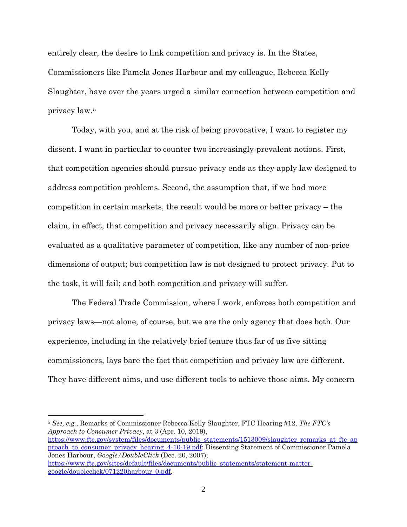entirely clear, the desire to link competition and privacy is. In the States, Commissioners like Pamela Jones Harbour and my colleague, Rebecca Kelly Slaughter, have over the years urged a similar connection between competition and privacy law.[5](#page-1-0)

Today, with you, and at the risk of being provocative, I want to register my dissent. I want in particular to counter two increasingly-prevalent notions. First, that competition agencies should pursue privacy ends as they apply law designed to address competition problems. Second, the assumption that, if we had more competition in certain markets, the result would be more or better privacy – the claim, in effect, that competition and privacy necessarily align. Privacy can be evaluated as a qualitative parameter of competition, like any number of non-price dimensions of output; but competition law is not designed to protect privacy. Put to the task, it will fail; and both competition and privacy will suffer.

The Federal Trade Commission, where I work, enforces both competition and privacy laws—not alone, of course, but we are the only agency that does both. Our experience, including in the relatively brief tenure thus far of us five sitting commissioners, lays bare the fact that competition and privacy law are different. They have different aims, and use different tools to achieve those aims. My concern

 $\overline{a}$ 

[https://www.ftc.gov/system/files/documents/public\\_statements/1513009/slaughter\\_remarks\\_at\\_ftc\\_ap](https://www.ftc.gov/system/files/documents/public_statements/1513009/slaughter_remarks_at_ftc_approach_to_consumer_privacy_hearing_4-10-19.pdf) [proach\\_to\\_consumer\\_privacy\\_hearing\\_4-10-19.pdf;](https://www.ftc.gov/system/files/documents/public_statements/1513009/slaughter_remarks_at_ftc_approach_to_consumer_privacy_hearing_4-10-19.pdf) Dissenting Statement of Commissioner Pamela Jones Harbour, *Google/DoubleClick* (Dec. 20, 2007); [https://www.ftc.gov/sites/default/files/documents/public\\_statements/statement-matter](https://www.ftc.gov/sites/default/files/documents/public_statements/statement-matter-google/doubleclick/071220harbour_0.pdf)[google/doubleclick/071220harbour\\_0.pdf.](https://www.ftc.gov/sites/default/files/documents/public_statements/statement-matter-google/doubleclick/071220harbour_0.pdf)

<span id="page-1-0"></span><sup>5</sup> *See, e.g.*, Remarks of Commissioner Rebecca Kelly Slaughter, FTC Hearing #12, *The FTC's Approach to Consumer Privacy*, at 3 (Apr. 10, 2019),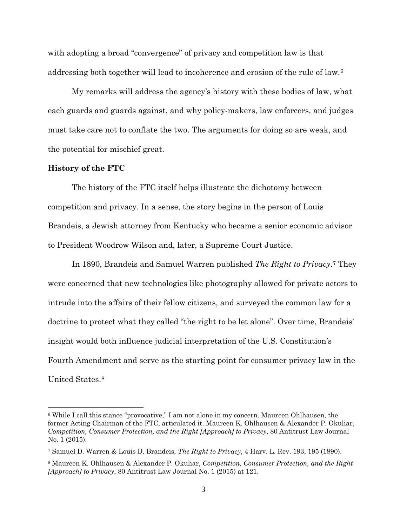with adopting a broad "convergence" of privacy and competition law is that addressing both together will lead to incoherence and erosion of the rule of law.[6](#page-2-0)

My remarks will address the agency's history with these bodies of law, what each guards and guards against, and why policy-makers, law enforcers, and judges must take care not to conflate the two. The arguments for doing so are weak, and the potential for mischief great.

#### **History of the FTC**

 $\overline{a}$ 

The history of the FTC itself helps illustrate the dichotomy between competition and privacy. In a sense, the story begins in the person of Louis Brandeis, a Jewish attorney from Kentucky who became a senior economic advisor to President Woodrow Wilson and, later, a Supreme Court Justice.

In 1890, Brandeis and Samuel Warren published *The Right to Privacy*.[7](#page-2-1) They were concerned that new technologies like photography allowed for private actors to intrude into the affairs of their fellow citizens, and surveyed the common law for a doctrine to protect what they called "the right to be let alone". Over time, Brandeis' insight would both influence judicial interpretation of the U.S. Constitution's Fourth Amendment and serve as the starting point for consumer privacy law in the United States.[8](#page-2-2)

<span id="page-2-0"></span><sup>6</sup> While I call this stance "provocative," I am not alone in my concern. Maureen Ohlhausen, the former Acting Chairman of the FTC, articulated it. Maureen K. Ohlhausen & Alexander P. Okuliar, *Competition, Consumer Protection, and the Right [Approach] to Privacy*, 80 Antitrust Law Journal No. 1 (2015).

<span id="page-2-1"></span><sup>7</sup> Samuel D. Warren & Louis D. Brandeis, *The Right to Privacy*, 4 Harv. L. Rev. 193, 195 (1890).

<span id="page-2-2"></span><sup>8</sup> Maureen K. Ohlhausen & Alexander P. Okuliar, *Competition, Consumer Protection, and the Right [Approach] to Privacy*, 80 Antitrust Law Journal No. 1 (2015) at 121.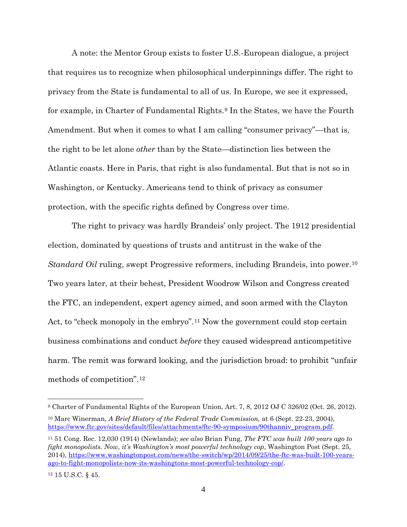A note: the Mentor Group exists to foster U.S.-European dialogue, a project that requires us to recognize when philosophical underpinnings differ. The right to privacy from the State is fundamental to all of us. In Europe, we see it expressed, for example, in Charter of Fundamental Rights.[9](#page-3-0) In the States, we have the Fourth Amendment. But when it comes to what I am calling "consumer privacy"—that is, the right to be let alone *other* than by the State—distinction lies between the Atlantic coasts. Here in Paris, that right is also fundamental. But that is not so in Washington, or Kentucky. Americans tend to think of privacy as consumer protection, with the specific rights defined by Congress over time.

The right to privacy was hardly Brandeis' only project. The 1912 presidential election, dominated by questions of trusts and antitrust in the wake of the *Standard Oil* ruling, swept Progressive reformers, including Brandeis, into power.[10](#page-3-1) Two years later, at their behest, President Woodrow Wilson and Congress created the FTC, an independent, expert agency aimed, and soon armed with the Clayton Act, to "check monopoly in the embryo".<sup>[11](#page-3-2)</sup> Now the government could stop certain business combinations and conduct *before* they caused widespread anticompetitive harm. The remit was forward looking, and the jurisdiction broad: to prohibit "unfair methods of competition".[12](#page-3-3)

<span id="page-3-0"></span><sup>9</sup> Charter of Fundamental Rights of the European Union, Art. 7, 8, 2012 OJ C 326/02 (Oct. 26, 2012).

<span id="page-3-1"></span><sup>10</sup> Marc Winerman, *A Brief History of the Federal Trade Commission,* at 6 (Sept. 22-23, 2004), [https://www.ftc.gov/sites/default/files/attachments/ftc-90-symposium/90thanniv\\_program.pdf.](https://www.ftc.gov/sites/default/files/attachments/ftc-90-symposium/90thanniv_program.pdf)

<span id="page-3-2"></span><sup>11</sup> 51 Cong. Rec. 12,030 (1914) (Newlands); *see also* Brian Fung, *The FTC was built 100 years ago to fight monopolists. Now, it's Washington's most powerful technology cop*, Washington Post (Sept. 25, 2014), [https://www.washingtonpost.com/news/the-switch/wp/2014/09/25/the-ftc-was-built-100-years](https://www.washingtonpost.com/news/the-switch/wp/2014/09/25/the-ftc-was-built-100-years-ago-to-fight-monopolists-now-its-washingtons-most-powerful-technology-cop/)[ago-to-fight-monopolists-now-its-washingtons-most-powerful-technology-cop/.](https://www.washingtonpost.com/news/the-switch/wp/2014/09/25/the-ftc-was-built-100-years-ago-to-fight-monopolists-now-its-washingtons-most-powerful-technology-cop/)

<span id="page-3-3"></span><sup>12</sup> 15 U.S.C. § 45.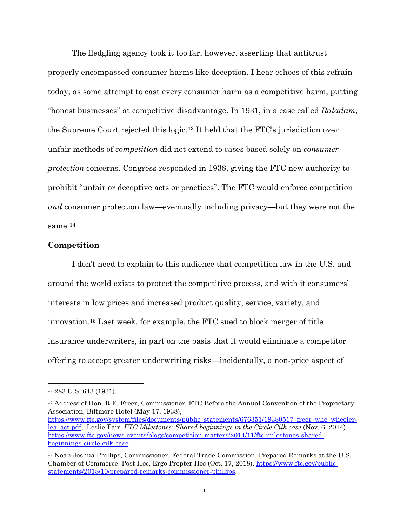The fledgling agency took it too far, however, asserting that antitrust properly encompassed consumer harms like deception. I hear echoes of this refrain today, as some attempt to cast every consumer harm as a competitive harm, putting "honest businesses" at competitive disadvantage. In 1931, in a case called *Raladam*, the Supreme Court rejected this logic.[13](#page-4-0) It held that the FTC's jurisdiction over unfair methods of *competition* did not extend to cases based solely on *consumer protection* concerns. Congress responded in 1938, giving the FTC new authority to prohibit "unfair or deceptive acts or practices". The FTC would enforce competition *and* consumer protection law—eventually including privacy—but they were not the same. $^{14}$  $^{14}$  $^{14}$ 

#### **Competition**

I don't need to explain to this audience that competition law in the U.S. and around the world exists to protect the competitive process, and with it consumers' interests in low prices and increased product quality, service, variety, and innovation.[15](#page-4-2) Last week, for example, the FTC sued to block merger of title insurance underwriters, in part on the basis that it would eliminate a competitor offering to accept greater underwriting risks—incidentally, a non-price aspect of

<span id="page-4-0"></span><sup>13</sup> 283 U.S. 643 (1931).

<span id="page-4-1"></span><sup>14</sup> Address of Hon. R.E. Freer, Commissioner, FTC Before the Annual Convention of the Proprietary Association, Biltmore Hotel (May 17, 1938),

[https://www.ftc.gov/system/files/documents/public\\_statements/676351/19380517\\_freer\\_whe\\_wheeler](https://www.ftc.gov/system/files/documents/public_statements/676351/19380517_freer_whe_wheeler-lea_act.pdf)[lea\\_act.pdf;](https://www.ftc.gov/system/files/documents/public_statements/676351/19380517_freer_whe_wheeler-lea_act.pdf) Leslie Fair, *FTC Milestones: Shared beginnings in the Circle Cilk case* (Nov. 6, 2014), [https://www.ftc.gov/news-events/blogs/competition-matters/2014/11/ftc-milestones-shared](https://www.ftc.gov/news-events/blogs/competition-matters/2014/11/ftc-milestones-shared-beginnings-circle-cilk-case)[beginnings-circle-cilk-case.](https://www.ftc.gov/news-events/blogs/competition-matters/2014/11/ftc-milestones-shared-beginnings-circle-cilk-case)

<span id="page-4-2"></span><sup>15</sup> Noah Joshua Phillips, Commissioner, Federal Trade Commission, Prepared Remarks at the U.S. Chamber of Commerce: Post Hoc, Ergo Propter Hoc (Oct. 17, 2018), [https://www.ftc.gov/public](https://www.ftc.gov/public-statements/2018/10/prepared-remarks-commissioner-phillips)[statements/2018/10/prepared-remarks-commissioner-phillips.](https://www.ftc.gov/public-statements/2018/10/prepared-remarks-commissioner-phillips)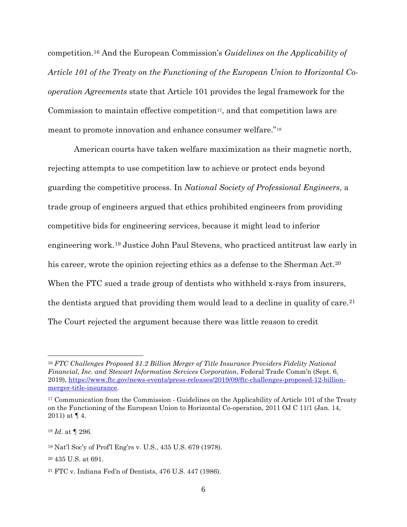competition.[16](#page-5-0) And the European Commission's *Guidelines on the Applicability of Article 101 of the Treaty on the Functioning of the European Union to Horizontal Cooperation Agreements* state that Article 101 provides the legal framework for the Commission to maintain effective competition<sup>17</sup>, and that competition laws are meant to promote innovation and enhance consumer welfare."[18](#page-5-2)

American courts have taken welfare maximization as their magnetic north, rejecting attempts to use competition law to achieve or protect ends beyond guarding the competitive process. In *National Society of Professional Engineers*, a trade group of engineers argued that ethics prohibited engineers from providing competitive bids for engineering services, because it might lead to inferior engineering work.[19](#page-5-3) Justice John Paul Stevens, who practiced antitrust law early in his career, wrote the opinion rejecting ethics as a defense to the Sherman Act.<sup>[20](#page-5-4)</sup> When the FTC sued a trade group of dentists who withheld x-rays from insurers, the dentists argued that providing them would lead to a decline in quality of care.[21](#page-5-5) The Court rejected the argument because there was little reason to credit

<span id="page-5-0"></span><sup>16</sup> *FTC Challenges Proposed \$1.2 Billion Merger of Title Insurance Providers Fidelity National Financial, Inc. and Stewart Information Services Corporation*, Federal Trade Comm'n (Sept. 6, 2019), [https://www.ftc.gov/news-events/press-releases/2019/09/ftc-challenges-proposed-12-billion](https://www.ftc.gov/news-events/press-releases/2019/09/ftc-challenges-proposed-12-billion-merger-title-insurance)[merger-title-insurance.](https://www.ftc.gov/news-events/press-releases/2019/09/ftc-challenges-proposed-12-billion-merger-title-insurance)

<span id="page-5-1"></span><sup>&</sup>lt;sup>17</sup> Communication from the Commission - Guidelines on the Applicability of Article 101 of the Treaty on the Functioning of the European Union to Horizontal Co-operation, 2011 OJ C 11/1 (Jan. 14, 2011) at  $\P$  4.

<span id="page-5-2"></span><sup>18</sup> *Id.* at ¶ 296.

<span id="page-5-3"></span><sup>19</sup> Nat'l Soc'y of Prof'l Eng'rs v. U.S., 435 U.S. 679 (1978).

<span id="page-5-4"></span><sup>20</sup> 435 U.S. at 691.

<span id="page-5-5"></span><sup>21</sup> FTC v. Indiana Fed'n of Dentists, 476 U.S. 447 (1986).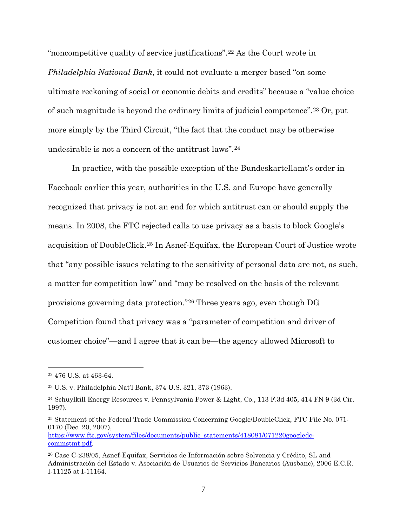"noncompetitive quality of service justifications".[22](#page-6-0) As the Court wrote in *Philadelphia National Bank*, it could not evaluate a merger based "on some ultimate reckoning of social or economic debits and credits" because a "value choice of such magnitude is beyond the ordinary limits of judicial competence".[23](#page-6-1) Or, put more simply by the Third Circuit, "the fact that the conduct may be otherwise undesirable is not a concern of the antitrust laws"[.24](#page-6-2)

In practice, with the possible exception of the Bundeskartellamt's order in Facebook earlier this year, authorities in the U.S. and Europe have generally recognized that privacy is not an end for which antitrust can or should supply the means. In 2008, the FTC rejected calls to use privacy as a basis to block Google's acquisition of DoubleClick.[25](#page-6-3) In Asnef-Equifax, the European Court of Justice wrote that "any possible issues relating to the sensitivity of personal data are not, as such, a matter for competition law" and "may be resolved on the basis of the relevant provisions governing data protection."[26](#page-6-4) Three years ago, even though DG Competition found that privacy was a "parameter of competition and driver of customer choice"—and I agree that it can be—the agency allowed Microsoft to

<span id="page-6-0"></span><sup>22</sup> 476 U.S. at 463-64.

<span id="page-6-1"></span><sup>23</sup> U.S. v. Philadelphia Nat'l Bank, 374 U.S. 321, 373 (1963).

<span id="page-6-2"></span><sup>24</sup> Schuylkill Energy Resources v. Pennsylvania Power & Light, Co., 113 F.3d 405, 414 FN 9 (3d Cir. 1997).

<span id="page-6-3"></span><sup>25</sup> Statement of the Federal Trade Commission Concerning Google/DoubleClick, FTC File No. 071- 0170 (Dec. 20, 2007),

[https://www.ftc.gov/system/files/documents/public\\_statements/418081/071220googledc](https://www.ftc.gov/system/files/documents/public_statements/418081/071220googledc-commstmt.pdf)[commstmt.pdf.](https://www.ftc.gov/system/files/documents/public_statements/418081/071220googledc-commstmt.pdf)

<span id="page-6-4"></span><sup>26</sup> Case C-238/05, Asnef-Equifax, Servicios de Información sobre Solvencia y Crédito, SL and Administración del Estado v. Asociación de Usuarios de Servicios Bancarios (Ausbanc), 2006 E.C.R. I-11125 at I-11164.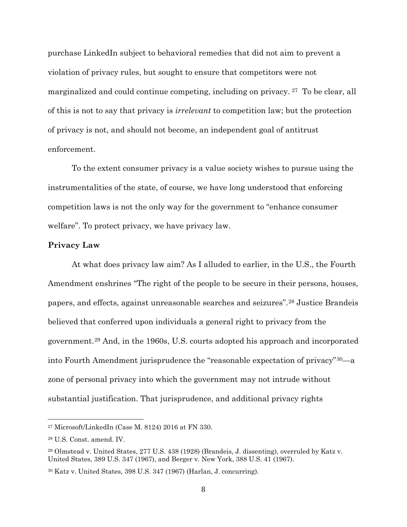purchase LinkedIn subject to behavioral remedies that did not aim to prevent a violation of privacy rules, but sought to ensure that competitors were not marginalized and could continue competing, including on privacy. [27](#page-7-0) To be clear, all of this is not to say that privacy is *irrelevant* to competition law; but the protection of privacy is not, and should not become, an independent goal of antitrust enforcement.

To the extent consumer privacy is a value society wishes to pursue using the instrumentalities of the state, of course, we have long understood that enforcing competition laws is not the only way for the government to "enhance consumer welfare". To protect privacy, we have privacy law.

### **Privacy Law**

At what does privacy law aim? As I alluded to earlier, in the U.S., the Fourth Amendment enshrines "The right of the people to be secure in their persons, houses, papers, and effects, against unreasonable searches and seizures".[28](#page-7-1) Justice Brandeis believed that conferred upon individuals a general right to privacy from the government.[29](#page-7-2) And, in the 1960s, U.S. courts adopted his approach and incorporated into Fourth Amendment jurisprudence the "reasonable expectation of privacy"[30](#page-7-3)—a zone of personal privacy into which the government may not intrude without substantial justification. That jurisprudence, and additional privacy rights

<span id="page-7-0"></span><sup>27</sup> Microsoft/LinkedIn (Case M. 8124) 2016 at FN 330.

<span id="page-7-1"></span><sup>28</sup> U.S. Const. amend. IV.

<span id="page-7-2"></span><sup>29</sup> Olmstead v. United States, 277 U.S. 438 (1928) (Brandeis, J. dissenting), overruled by Katz v. United States, 389 U.S. 347 (1967), and Berger v. New York, 388 U.S. 41 (1967).

<span id="page-7-3"></span><sup>30</sup> Katz v. United States, 398 U.S. 347 (1967) (Harlan, J. concurring).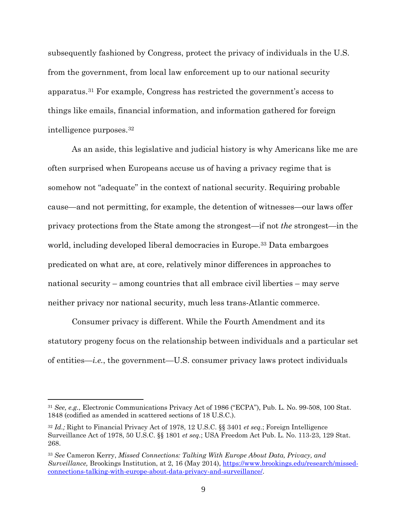subsequently fashioned by Congress, protect the privacy of individuals in the U.S. from the government, from local law enforcement up to our national security apparatus.[31](#page-8-0) For example, Congress has restricted the government's access to things like emails, financial information, and information gathered for foreign intelligence purposes.[32](#page-8-1)

As an aside, this legislative and judicial history is why Americans like me are often surprised when Europeans accuse us of having a privacy regime that is somehow not "adequate" in the context of national security. Requiring probable cause—and not permitting, for example, the detention of witnesses—our laws offer privacy protections from the State among the strongest—if not *the* strongest—in the world, including developed liberal democracies in Europe.[33](#page-8-2) Data embargoes predicated on what are, at core, relatively minor differences in approaches to national security – among countries that all embrace civil liberties – may serve neither privacy nor national security, much less trans-Atlantic commerce.

Consumer privacy is different. While the Fourth Amendment and its statutory progeny focus on the relationship between individuals and a particular set of entities—*i.e.*, the government—U.S. consumer privacy laws protect individuals

<span id="page-8-0"></span><sup>31</sup> *See, e.g.*, Electronic Communications Privacy Act of 1986 ("ECPA"), Pub. L. No. 99-508, 100 Stat. 1848 (codified as amended in scattered sections of 18 U.S.C.).

<span id="page-8-1"></span><sup>32</sup> *Id.;* Right to Financial Privacy Act of 1978, 12 U.S.C. §§ 3401 *et seq.*; Foreign Intelligence Surveillance Act of 1978, 50 U.S.C. §§ 1801 *et seq.*; USA Freedom Act Pub. L. No. 113-23, 129 Stat. 268.

<span id="page-8-2"></span><sup>33</sup> *See* Cameron Kerry, *Missed Connections: Talking With Europe About Data, Privacy, and Surveillance,* Brookings Institution, at 2, 16 (May 2014), [https://www.brookings.edu/research/missed](https://www.brookings.edu/research/missed-connections-talking-with-europe-about-data-privacy-and-surveillance/)[connections-talking-with-europe-about-data-privacy-and-surveillance/.](https://www.brookings.edu/research/missed-connections-talking-with-europe-about-data-privacy-and-surveillance/)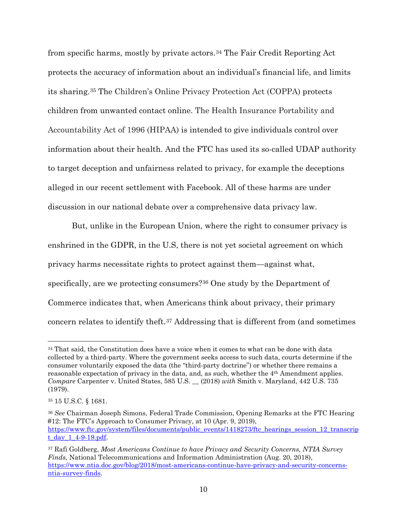from specific harms, mostly by private actors.[34](#page-9-0) The Fair Credit Reporting Act protects the accuracy of information about an individual's financial life, and limits its sharing.[35](#page-9-1) The Children's Online Privacy Protection Act (COPPA) protects children from unwanted contact online. The Health Insurance Portability and Accountability Act of 1996 (HIPAA) is intended to give individuals control over information about their health. And the FTC has used its so-called UDAP authority to target deception and unfairness related to privacy, for example the deceptions alleged in our recent settlement with Facebook. All of these harms are under discussion in our national debate over a comprehensive data privacy law.

But, unlike in the European Union, where the right to consumer privacy is enshrined in the GDPR, in the U.S, there is not yet societal agreement on which privacy harms necessitate rights to protect against them—against what, specifically, are we protecting consumers?[36](#page-9-2) One study by the Department of Commerce indicates that, when Americans think about privacy, their primary concern relates to identify theft.[37](#page-9-3) Addressing that is different from (and sometimes

<span id="page-9-0"></span><sup>&</sup>lt;sup>34</sup> That said, the Constitution does have a voice when it comes to what can be done with data collected by a third-party. Where the government seeks access to such data, courts determine if the consumer voluntarily exposed the data (the "third-party doctrine") or whether there remains a reasonable expectation of privacy in the data, and, as such, whether the 4th Amendment applies. *Compare* Carpenter v. United States, 585 U.S. \_\_ (2018) *with* Smith v. Maryland, 442 U.S. 735 (1979).

<span id="page-9-1"></span><sup>35</sup> 15 U.S.C. § 1681.

<span id="page-9-2"></span><sup>36</sup> *See* Chairman Joseph Simons, Federal Trade Commission, Opening Remarks at the FTC Hearing #12: The FTC's Approach to Consumer Privacy, at 10 (Apr. 9, 2019), [https://www.ftc.gov/system/files/documents/public\\_events/1418273/ftc\\_hearings\\_session\\_12\\_transcrip](https://www.ftc.gov/system/files/documents/public_events/1418273/ftc_hearings_session_12_transcript_day_1_4-9-19.pdf) [t\\_day\\_1\\_4-9-19.pdf.](https://www.ftc.gov/system/files/documents/public_events/1418273/ftc_hearings_session_12_transcript_day_1_4-9-19.pdf)

<span id="page-9-3"></span><sup>37</sup> Rafi Goldberg, *Most Americans Continue to have Privacy and Security Concerns, NTIA Survey Finds,* National Telecommunications and Information Administration (Aug. 20, 2018), [https://www.ntia.doc.gov/blog/2018/most-americans-continue-have-privacy-and-security-concerns](https://www.ntia.doc.gov/blog/2018/most-americans-continue-have-privacy-and-security-concerns-ntia-survey-finds)[ntia-survey-finds.](https://www.ntia.doc.gov/blog/2018/most-americans-continue-have-privacy-and-security-concerns-ntia-survey-finds)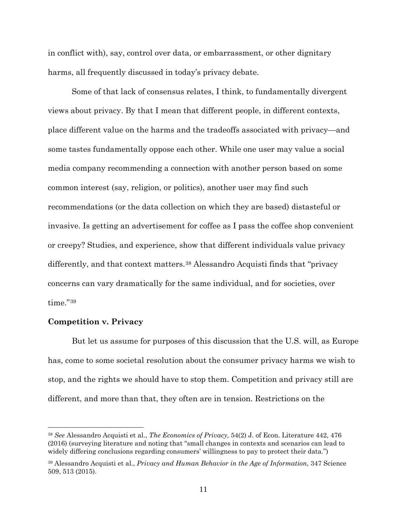in conflict with), say, control over data, or embarrassment, or other dignitary harms, all frequently discussed in today's privacy debate.

Some of that lack of consensus relates, I think, to fundamentally divergent views about privacy. By that I mean that different people, in different contexts, place different value on the harms and the tradeoffs associated with privacy—and some tastes fundamentally oppose each other. While one user may value a social media company recommending a connection with another person based on some common interest (say, religion, or politics), another user may find such recommendations (or the data collection on which they are based) distasteful or invasive. Is getting an advertisement for coffee as I pass the coffee shop convenient or creepy? Studies, and experience, show that different individuals value privacy differently, and that context matters.<sup>[38](#page-10-0)</sup> Alessandro Acquisti finds that "privacy" concerns can vary dramatically for the same individual, and for societies, over time."[39](#page-10-1)

### **Competition v. Privacy**

 $\overline{a}$ 

But let us assume for purposes of this discussion that the U.S. will, as Europe has, come to some societal resolution about the consumer privacy harms we wish to stop, and the rights we should have to stop them. Competition and privacy still are different, and more than that, they often are in tension. Restrictions on the

<span id="page-10-0"></span><sup>38</sup> *See* Alessandro Acquisti et al., *The Economics of Privacy,* 54(2) J. of Econ. Literature 442, 476 (2016) (surveying literature and noting that "small changes in contexts and scenarios can lead to widely differing conclusions regarding consumers' willingness to pay to protect their data.")

<span id="page-10-1"></span><sup>39</sup> Alessandro Acquisti et al., *Privacy and Human Behavior in the Age of Information*, 347 Science 509, 513 (2015).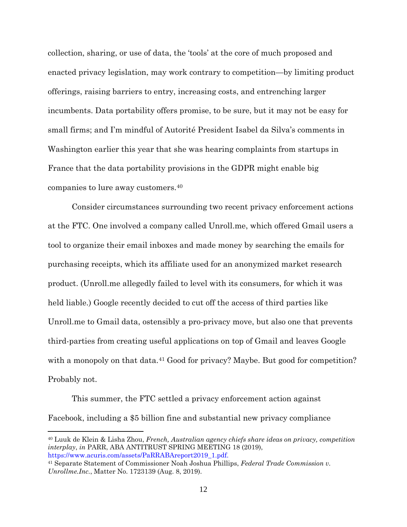collection, sharing, or use of data, the 'tools' at the core of much proposed and enacted privacy legislation, may work contrary to competition—by limiting product offerings, raising barriers to entry, increasing costs, and entrenching larger incumbents. Data portability offers promise, to be sure, but it may not be easy for small firms; and I'm mindful of Autorité President Isabel da Silva's comments in Washington earlier this year that she was hearing complaints from startups in France that the data portability provisions in the GDPR might enable big companies to lure away customers.[40](#page-11-0)

Consider circumstances surrounding two recent privacy enforcement actions at the FTC. One involved a company called Unroll.me, which offered Gmail users a tool to organize their email inboxes and made money by searching the emails for purchasing receipts, which its affiliate used for an anonymized market research product. (Unroll.me allegedly failed to level with its consumers, for which it was held liable.) Google recently decided to cut off the access of third parties like Unroll.me to Gmail data, ostensibly a pro-privacy move, but also one that prevents third-parties from creating useful applications on top of Gmail and leaves Google with a monopoly on that data.<sup>[41](#page-11-1)</sup> Good for privacy? Maybe. But good for competition? Probably not.

This summer, the FTC settled a privacy enforcement action against Facebook, including a \$5 billion fine and substantial new privacy compliance

<span id="page-11-0"></span><sup>40</sup> Luuk de Klein & Lisha Zhou, *French, Australian agency chiefs share ideas on privacy, competition interplay*, *in* PARR, ABA ANTITRUST SPRING MEETING 18 (2019), https://www.acuris.com/assets/PaRRABAreport2019\_1.pdf.

<span id="page-11-1"></span><sup>41</sup> Separate Statement of Commissioner Noah Joshua Phillips, *Federal Trade Commission v. Unrollme.Inc.*, Matter No. 1723139 (Aug. 8, 2019).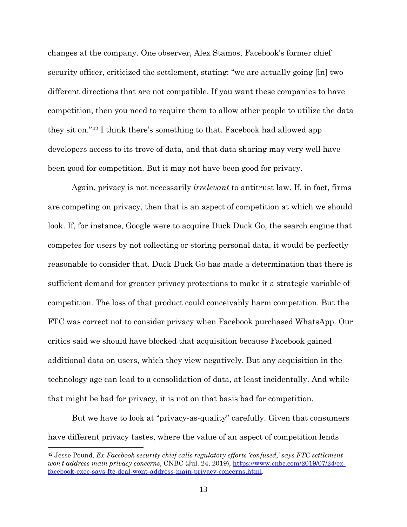changes at the company. One observer, Alex Stamos, Facebook's former chief security officer, criticized the settlement, stating: "we are actually going [in] two different directions that are not compatible. If you want these companies to have competition, then you need to require them to allow other people to utilize the data they sit on."[42](#page-12-0) I think there's something to that. Facebook had allowed app developers access to its trove of data, and that data sharing may very well have been good for competition. But it may not have been good for privacy.

Again, privacy is not necessarily *irrelevant* to antitrust law. If, in fact, firms are competing on privacy, then that is an aspect of competition at which we should look. If, for instance, Google were to acquire Duck Duck Go, the search engine that competes for users by not collecting or storing personal data, it would be perfectly reasonable to consider that. Duck Duck Go has made a determination that there is sufficient demand for greater privacy protections to make it a strategic variable of competition. The loss of that product could conceivably harm competition. But the FTC was correct not to consider privacy when Facebook purchased WhatsApp. Our critics said we should have blocked that acquisition because Facebook gained additional data on users, which they view negatively. But any acquisition in the technology age can lead to a consolidation of data, at least incidentally. And while that might be bad for privacy, it is not on that basis bad for competition.

But we have to look at "privacy-as-quality" carefully. Given that consumers have different privacy tastes, where the value of an aspect of competition lends

<span id="page-12-0"></span><sup>42</sup> Jesse Pound, *Ex-Facebook security chief calls regulatory efforts 'confused,' says FTC settlement won't address main privacy concerns*, CNBC (Jul. 24, 2019), [https://www.cnbc.com/2019/07/24/ex](https://www.cnbc.com/2019/07/24/ex-facebook-exec-says-ftc-deal-wont-address-main-privacy-concerns.html)[facebook-exec-says-ftc-deal-wont-address-main-privacy-concerns.html.](https://www.cnbc.com/2019/07/24/ex-facebook-exec-says-ftc-deal-wont-address-main-privacy-concerns.html)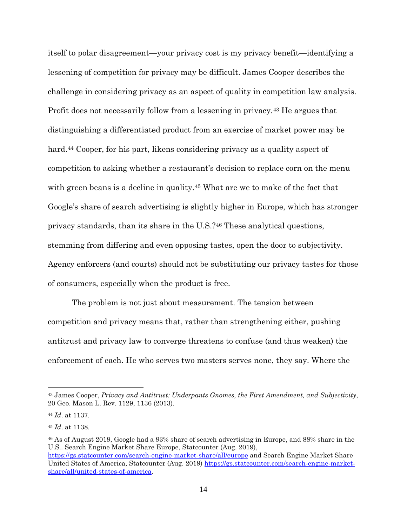itself to polar disagreement—your privacy cost is my privacy benefit—identifying a lessening of competition for privacy may be difficult. James Cooper describes the challenge in considering privacy as an aspect of quality in competition law analysis. Profit does not necessarily follow from a lessening in privacy.[43](#page-13-0) He argues that distinguishing a differentiated product from an exercise of market power may be hard.<sup>[44](#page-13-1)</sup> Cooper, for his part, likens considering privacy as a quality aspect of competition to asking whether a restaurant's decision to replace corn on the menu with green beans is a decline in quality.<sup>[45](#page-13-2)</sup> What are we to make of the fact that Google's share of search advertising is slightly higher in Europe, which has stronger privacy standards, than its share in the U.S.?[46](#page-13-3) These analytical questions, stemming from differing and even opposing tastes, open the door to subjectivity. Agency enforcers (and courts) should not be substituting our privacy tastes for those of consumers, especially when the product is free.

The problem is not just about measurement. The tension between competition and privacy means that, rather than strengthening either, pushing antitrust and privacy law to converge threatens to confuse (and thus weaken) the enforcement of each. He who serves two masters serves none, they say. Where the

 $\overline{a}$ 

[share/all/united-states-of-america.](https://gs.statcounter.com/search-engine-market-share/all/united-states-of-america)

<span id="page-13-3"></span><sup>46</sup> As of August 2019, Google had a 93% share of search advertising in Europe, and 88% share in the U.S.. Search Engine Market Share Europe, Statcounter (Aug. 2019), <https://gs.statcounter.com/search-engine-market-share/all/europe> and Search Engine Market Share United States of America, Statcounter (Aug. 2019) [https://gs.statcounter.com/search-engine-market-](https://gs.statcounter.com/search-engine-market-share/all/united-states-of-america)

<span id="page-13-0"></span><sup>43</sup> James Cooper, *Privacy and Antitrust: Underpants Gnomes, the First Amendment, and Subjectivity*, 20 Geo. Mason L. Rev. 1129, 1136 (2013).

<span id="page-13-1"></span><sup>44</sup> *Id*. at 1137.

<span id="page-13-2"></span><sup>45</sup> *Id*. at 1138.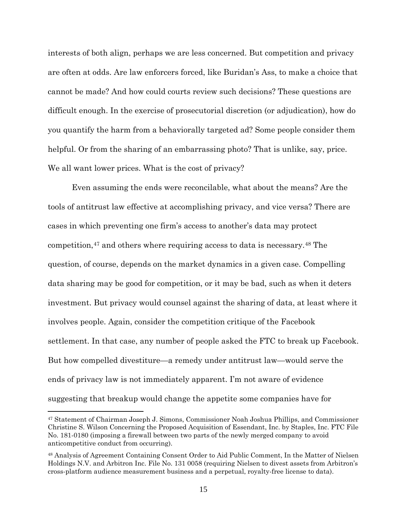interests of both align, perhaps we are less concerned. But competition and privacy are often at odds. Are law enforcers forced, like Buridan's Ass, to make a choice that cannot be made? And how could courts review such decisions? These questions are difficult enough. In the exercise of prosecutorial discretion (or adjudication), how do you quantify the harm from a behaviorally targeted ad? Some people consider them helpful. Or from the sharing of an embarrassing photo? That is unlike, say, price. We all want lower prices. What is the cost of privacy?

Even assuming the ends were reconcilable, what about the means? Are the tools of antitrust law effective at accomplishing privacy, and vice versa? There are cases in which preventing one firm's access to another's data may protect competition,[47](#page-14-0) and others where requiring access to data is necessary.[48](#page-14-1) The question, of course, depends on the market dynamics in a given case. Compelling data sharing may be good for competition, or it may be bad, such as when it deters investment. But privacy would counsel against the sharing of data, at least where it involves people. Again, consider the competition critique of the Facebook settlement. In that case, any number of people asked the FTC to break up Facebook. But how compelled divestiture—a remedy under antitrust law—would serve the ends of privacy law is not immediately apparent. I'm not aware of evidence suggesting that breakup would change the appetite some companies have for

<span id="page-14-0"></span><sup>47</sup> Statement of Chairman Joseph J. Simons, Commissioner Noah Joshua Phillips, and Commissioner Christine S. Wilson Concerning the Proposed Acquisition of Essendant, Inc. by Staples, Inc. FTC File No. 181-0180 (imposing a firewall between two parts of the newly merged company to avoid anticompetitive conduct from occurring).

<span id="page-14-1"></span><sup>48</sup> Analysis of Agreement Containing Consent Order to Aid Public Comment, In the Matter of Nielsen Holdings N.V. and Arbitron Inc. File No. 131 0058 (requiring Nielsen to divest assets from Arbitron's cross-platform audience measurement business and a perpetual, royalty-free license to data).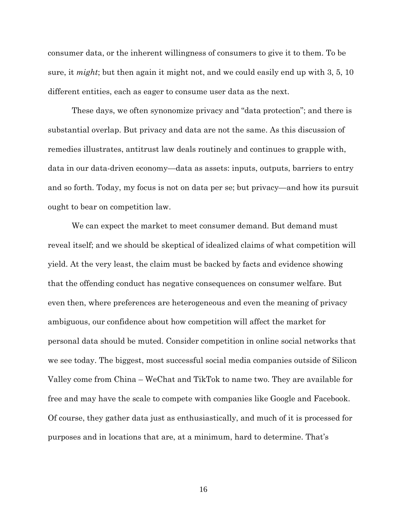consumer data, or the inherent willingness of consumers to give it to them. To be sure, it *might*; but then again it might not, and we could easily end up with 3, 5, 10 different entities, each as eager to consume user data as the next.

These days, we often synonomize privacy and "data protection"; and there is substantial overlap. But privacy and data are not the same. As this discussion of remedies illustrates, antitrust law deals routinely and continues to grapple with, data in our data-driven economy—data as assets: inputs, outputs, barriers to entry and so forth. Today, my focus is not on data per se; but privacy—and how its pursuit ought to bear on competition law.

We can expect the market to meet consumer demand. But demand must reveal itself; and we should be skeptical of idealized claims of what competition will yield. At the very least, the claim must be backed by facts and evidence showing that the offending conduct has negative consequences on consumer welfare. But even then, where preferences are heterogeneous and even the meaning of privacy ambiguous, our confidence about how competition will affect the market for personal data should be muted. Consider competition in online social networks that we see today. The biggest, most successful social media companies outside of Silicon Valley come from China – WeChat and TikTok to name two. They are available for free and may have the scale to compete with companies like Google and Facebook. Of course, they gather data just as enthusiastically, and much of it is processed for purposes and in locations that are, at a minimum, hard to determine. That's

16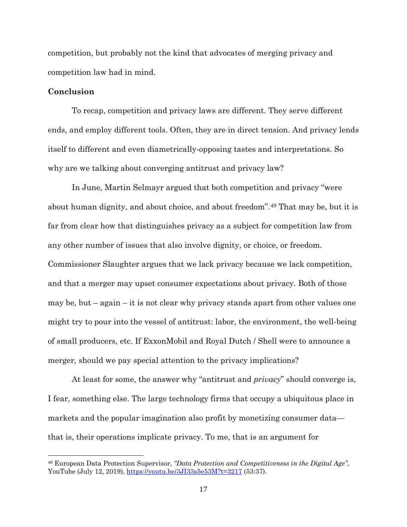competition, but probably not the kind that advocates of merging privacy and competition law had in mind.

### **Conclusion**

 $\overline{a}$ 

To recap, competition and privacy laws are different. They serve different ends, and employ different tools. Often, they are in direct tension. And privacy lends itself to different and even diametrically-opposing tastes and interpretations. So why are we talking about converging antitrust and privacy law?

In June, Martin Selmayr argued that both competition and privacy "were about human dignity, and about choice, and about freedom".[49](#page-16-0) That may be, but it is far from clear how that distinguishes privacy as a subject for competition law from any other number of issues that also involve dignity, or choice, or freedom. Commissioner Slaughter argues that we lack privacy because we lack competition, and that a merger may upset consumer expectations about privacy. Both of those may be, but – again – it is not clear why privacy stands apart from other values one might try to pour into the vessel of antitrust: labor, the environment, the well-being of small producers, etc. If ExxonMobil and Royal Dutch / Shell were to announce a merger, should we pay special attention to the privacy implications?

At least for some, the answer why "antitrust and *privacy*" should converge is, I fear, something else. The large technology firms that occupy a ubiquitous place in markets and the popular imagination also profit by monetizing consumer data that is, their operations implicate privacy. To me, that is an argument for

<span id="page-16-0"></span><sup>49</sup> European Data Protection Supervisor, *"Data Protection and Competitiveness in the Digital Age"*, YouTube (July 12, 2019),<https://youtu.be/3JI33s5e53M?t=3217> (53:37).